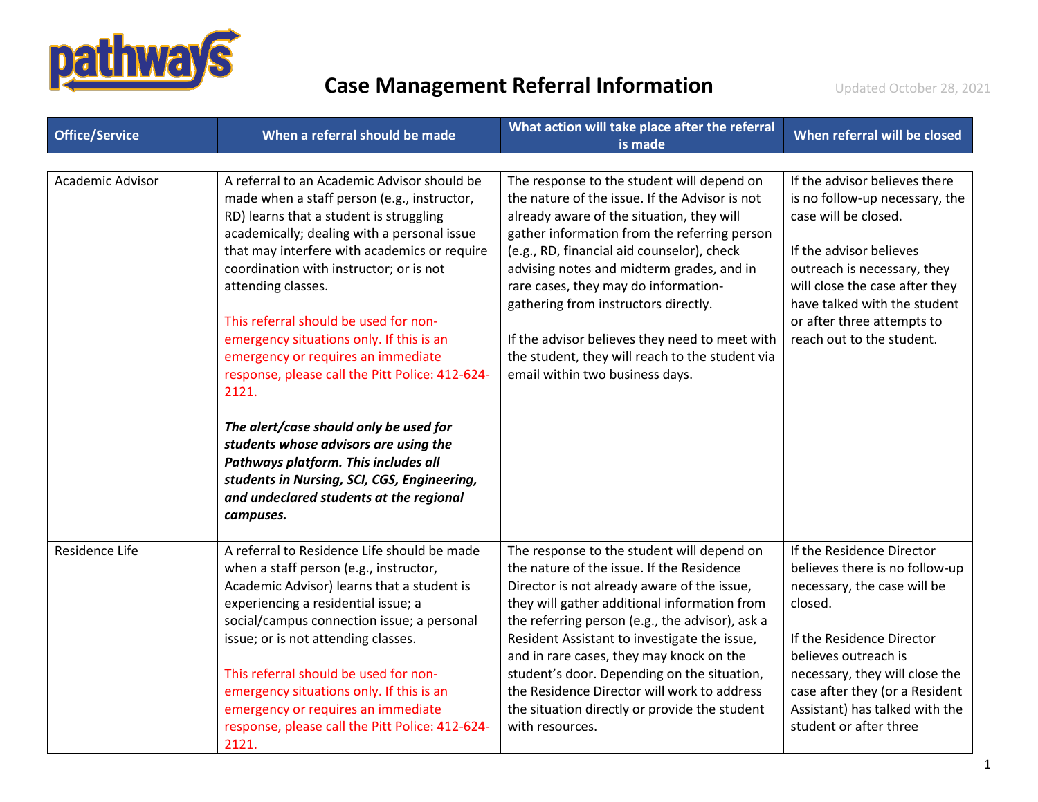

| <b>Office/Service</b> | When a referral should be made                                                                                                                                                                                                                                                                                                                                                                                                                                                                                                                                                                                                                                                                                                 | What action will take place after the referral<br>is made                                                                                                                                                                                                                                                                                                                                                                                                                                                    | When referral will be closed                                                                                                                                                                                                                                                               |
|-----------------------|--------------------------------------------------------------------------------------------------------------------------------------------------------------------------------------------------------------------------------------------------------------------------------------------------------------------------------------------------------------------------------------------------------------------------------------------------------------------------------------------------------------------------------------------------------------------------------------------------------------------------------------------------------------------------------------------------------------------------------|--------------------------------------------------------------------------------------------------------------------------------------------------------------------------------------------------------------------------------------------------------------------------------------------------------------------------------------------------------------------------------------------------------------------------------------------------------------------------------------------------------------|--------------------------------------------------------------------------------------------------------------------------------------------------------------------------------------------------------------------------------------------------------------------------------------------|
| Academic Advisor      | A referral to an Academic Advisor should be<br>made when a staff person (e.g., instructor,<br>RD) learns that a student is struggling<br>academically; dealing with a personal issue<br>that may interfere with academics or require<br>coordination with instructor; or is not<br>attending classes.<br>This referral should be used for non-<br>emergency situations only. If this is an<br>emergency or requires an immediate<br>response, please call the Pitt Police: 412-624-<br>2121.<br>The alert/case should only be used for<br>students whose advisors are using the<br>Pathways platform. This includes all<br>students in Nursing, SCI, CGS, Engineering,<br>and undeclared students at the regional<br>campuses. | The response to the student will depend on<br>the nature of the issue. If the Advisor is not<br>already aware of the situation, they will<br>gather information from the referring person<br>(e.g., RD, financial aid counselor), check<br>advising notes and midterm grades, and in<br>rare cases, they may do information-<br>gathering from instructors directly.<br>If the advisor believes they need to meet with<br>the student, they will reach to the student via<br>email within two business days. | If the advisor believes there<br>is no follow-up necessary, the<br>case will be closed.<br>If the advisor believes<br>outreach is necessary, they<br>will close the case after they<br>have talked with the student<br>or after three attempts to<br>reach out to the student.             |
| Residence Life        | A referral to Residence Life should be made<br>when a staff person (e.g., instructor,<br>Academic Advisor) learns that a student is<br>experiencing a residential issue; a<br>social/campus connection issue; a personal<br>issue; or is not attending classes.<br>This referral should be used for non-<br>emergency situations only. If this is an<br>emergency or requires an immediate<br>response, please call the Pitt Police: 412-624-<br>2121.                                                                                                                                                                                                                                                                         | The response to the student will depend on<br>the nature of the issue. If the Residence<br>Director is not already aware of the issue,<br>they will gather additional information from<br>the referring person (e.g., the advisor), ask a<br>Resident Assistant to investigate the issue,<br>and in rare cases, they may knock on the<br>student's door. Depending on the situation,<br>the Residence Director will work to address<br>the situation directly or provide the student<br>with resources.      | If the Residence Director<br>believes there is no follow-up<br>necessary, the case will be<br>closed.<br>If the Residence Director<br>believes outreach is<br>necessary, they will close the<br>case after they (or a Resident<br>Assistant) has talked with the<br>student or after three |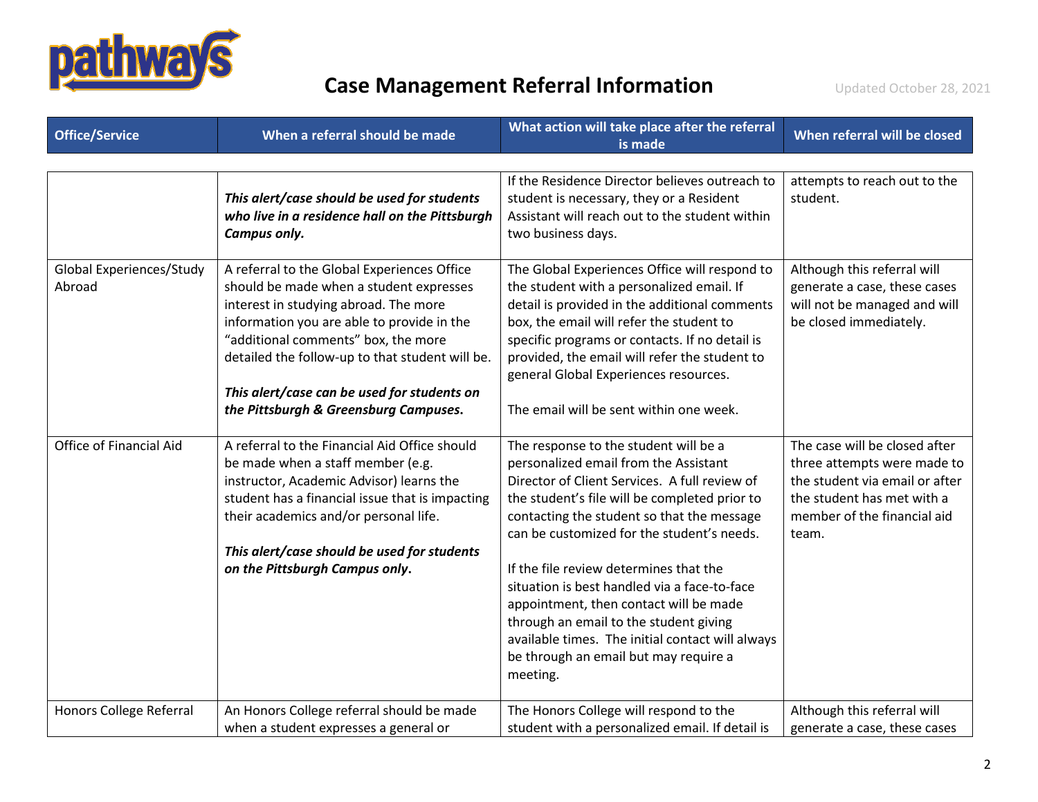

| <b>Office/Service</b>              | When a referral should be made                                                                                                                                                                                                                                                                                                                                  | What action will take place after the referral<br>is made                                                                                                                                                                                                                                                                                                                                                                                                                                                                                                           | When referral will be closed                                                                                                                                         |
|------------------------------------|-----------------------------------------------------------------------------------------------------------------------------------------------------------------------------------------------------------------------------------------------------------------------------------------------------------------------------------------------------------------|---------------------------------------------------------------------------------------------------------------------------------------------------------------------------------------------------------------------------------------------------------------------------------------------------------------------------------------------------------------------------------------------------------------------------------------------------------------------------------------------------------------------------------------------------------------------|----------------------------------------------------------------------------------------------------------------------------------------------------------------------|
|                                    | This alert/case should be used for students<br>who live in a residence hall on the Pittsburgh<br>Campus only.                                                                                                                                                                                                                                                   | If the Residence Director believes outreach to<br>student is necessary, they or a Resident<br>Assistant will reach out to the student within<br>two business days.                                                                                                                                                                                                                                                                                                                                                                                                  | attempts to reach out to the<br>student.                                                                                                                             |
| Global Experiences/Study<br>Abroad | A referral to the Global Experiences Office<br>should be made when a student expresses<br>interest in studying abroad. The more<br>information you are able to provide in the<br>"additional comments" box, the more<br>detailed the follow-up to that student will be.<br>This alert/case can be used for students on<br>the Pittsburgh & Greensburg Campuses. | The Global Experiences Office will respond to<br>the student with a personalized email. If<br>detail is provided in the additional comments<br>box, the email will refer the student to<br>specific programs or contacts. If no detail is<br>provided, the email will refer the student to<br>general Global Experiences resources.<br>The email will be sent within one week.                                                                                                                                                                                      | Although this referral will<br>generate a case, these cases<br>will not be managed and will<br>be closed immediately.                                                |
| Office of Financial Aid            | A referral to the Financial Aid Office should<br>be made when a staff member (e.g.<br>instructor, Academic Advisor) learns the<br>student has a financial issue that is impacting<br>their academics and/or personal life.<br>This alert/case should be used for students<br>on the Pittsburgh Campus only.                                                     | The response to the student will be a<br>personalized email from the Assistant<br>Director of Client Services. A full review of<br>the student's file will be completed prior to<br>contacting the student so that the message<br>can be customized for the student's needs.<br>If the file review determines that the<br>situation is best handled via a face-to-face<br>appointment, then contact will be made<br>through an email to the student giving<br>available times. The initial contact will always<br>be through an email but may require a<br>meeting. | The case will be closed after<br>three attempts were made to<br>the student via email or after<br>the student has met with a<br>member of the financial aid<br>team. |
| Honors College Referral            | An Honors College referral should be made<br>when a student expresses a general or                                                                                                                                                                                                                                                                              | The Honors College will respond to the<br>student with a personalized email. If detail is                                                                                                                                                                                                                                                                                                                                                                                                                                                                           | Although this referral will<br>generate a case, these cases                                                                                                          |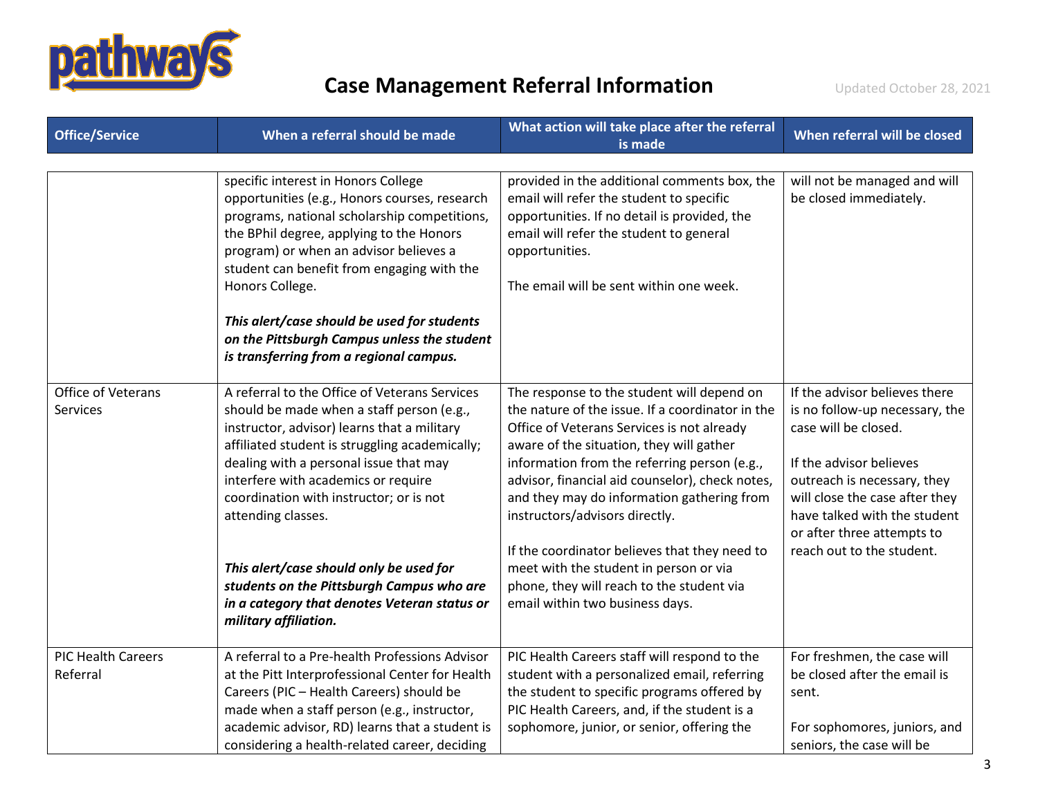

| <b>Office/Service</b>                 | When a referral should be made                                                                                                                                                                                                                                                                                                                                                                                                                                                                                 | What action will take place after the referral<br>is made                                                                                                                                                                                                                                                                                                                                                                                                                                                                                              | When referral will be closed                                                                                                                                                                                                                                                   |
|---------------------------------------|----------------------------------------------------------------------------------------------------------------------------------------------------------------------------------------------------------------------------------------------------------------------------------------------------------------------------------------------------------------------------------------------------------------------------------------------------------------------------------------------------------------|--------------------------------------------------------------------------------------------------------------------------------------------------------------------------------------------------------------------------------------------------------------------------------------------------------------------------------------------------------------------------------------------------------------------------------------------------------------------------------------------------------------------------------------------------------|--------------------------------------------------------------------------------------------------------------------------------------------------------------------------------------------------------------------------------------------------------------------------------|
|                                       | specific interest in Honors College<br>opportunities (e.g., Honors courses, research<br>programs, national scholarship competitions,<br>the BPhil degree, applying to the Honors<br>program) or when an advisor believes a<br>student can benefit from engaging with the<br>Honors College.<br>This alert/case should be used for students<br>on the Pittsburgh Campus unless the student<br>is transferring from a regional campus.                                                                           | provided in the additional comments box, the<br>email will refer the student to specific<br>opportunities. If no detail is provided, the<br>email will refer the student to general<br>opportunities.<br>The email will be sent within one week.                                                                                                                                                                                                                                                                                                       | will not be managed and will<br>be closed immediately.                                                                                                                                                                                                                         |
| Office of Veterans<br><b>Services</b> | A referral to the Office of Veterans Services<br>should be made when a staff person (e.g.,<br>instructor, advisor) learns that a military<br>affiliated student is struggling academically;<br>dealing with a personal issue that may<br>interfere with academics or require<br>coordination with instructor; or is not<br>attending classes.<br>This alert/case should only be used for<br>students on the Pittsburgh Campus who are<br>in a category that denotes Veteran status or<br>military affiliation. | The response to the student will depend on<br>the nature of the issue. If a coordinator in the<br>Office of Veterans Services is not already<br>aware of the situation, they will gather<br>information from the referring person (e.g.,<br>advisor, financial aid counselor), check notes,<br>and they may do information gathering from<br>instructors/advisors directly.<br>If the coordinator believes that they need to<br>meet with the student in person or via<br>phone, they will reach to the student via<br>email within two business days. | If the advisor believes there<br>is no follow-up necessary, the<br>case will be closed.<br>If the advisor believes<br>outreach is necessary, they<br>will close the case after they<br>have talked with the student<br>or after three attempts to<br>reach out to the student. |
| <b>PIC Health Careers</b><br>Referral | A referral to a Pre-health Professions Advisor<br>at the Pitt Interprofessional Center for Health<br>Careers (PIC - Health Careers) should be<br>made when a staff person (e.g., instructor,<br>academic advisor, RD) learns that a student is<br>considering a health-related career, deciding                                                                                                                                                                                                                | PIC Health Careers staff will respond to the<br>student with a personalized email, referring<br>the student to specific programs offered by<br>PIC Health Careers, and, if the student is a<br>sophomore, junior, or senior, offering the                                                                                                                                                                                                                                                                                                              | For freshmen, the case will<br>be closed after the email is<br>sent.<br>For sophomores, juniors, and<br>seniors, the case will be                                                                                                                                              |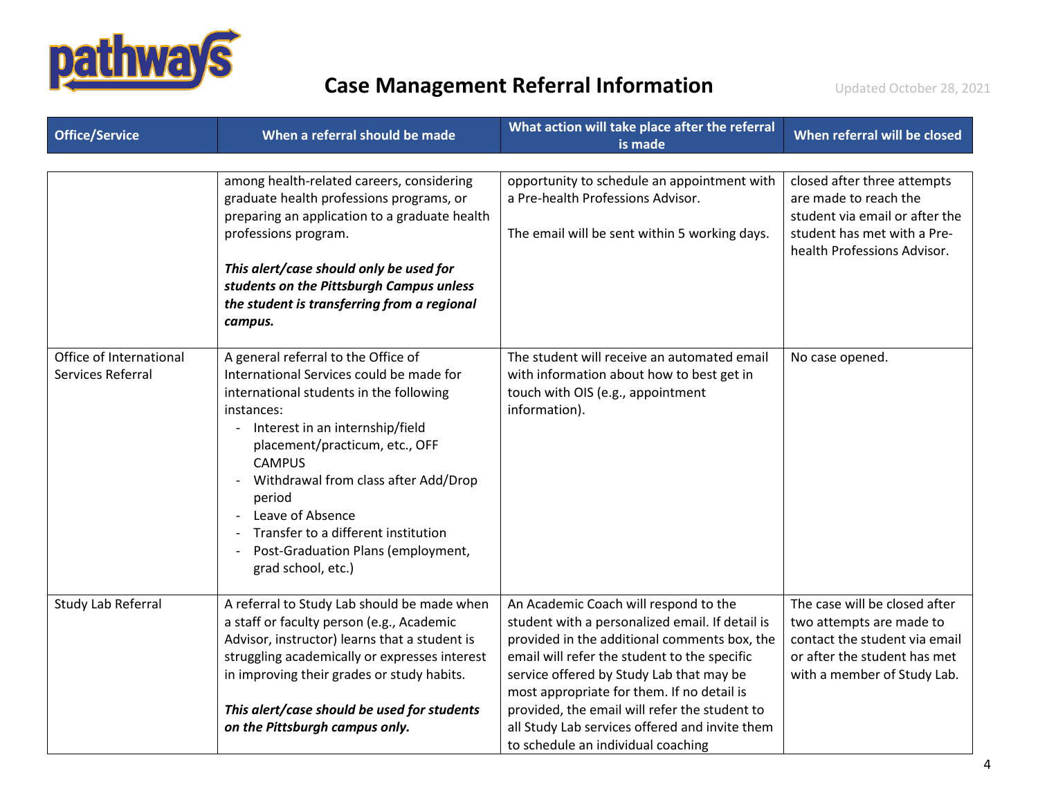

| <b>Office/Service</b>                        | When a referral should be made                                                                                                                                                                                                                                                                                                                                                                            | What action will take place after the referral<br>is made                                                                                                                                                                                                                                                                                                                                                                   | When referral will be closed                                                                                                                              |
|----------------------------------------------|-----------------------------------------------------------------------------------------------------------------------------------------------------------------------------------------------------------------------------------------------------------------------------------------------------------------------------------------------------------------------------------------------------------|-----------------------------------------------------------------------------------------------------------------------------------------------------------------------------------------------------------------------------------------------------------------------------------------------------------------------------------------------------------------------------------------------------------------------------|-----------------------------------------------------------------------------------------------------------------------------------------------------------|
|                                              | among health-related careers, considering<br>graduate health professions programs, or<br>preparing an application to a graduate health<br>professions program.<br>This alert/case should only be used for<br>students on the Pittsburgh Campus unless<br>the student is transferring from a regional<br>campus.                                                                                           | opportunity to schedule an appointment with<br>a Pre-health Professions Advisor.<br>The email will be sent within 5 working days.                                                                                                                                                                                                                                                                                           | closed after three attempts<br>are made to reach the<br>student via email or after the<br>student has met with a Pre-<br>health Professions Advisor.      |
| Office of International<br>Services Referral | A general referral to the Office of<br>International Services could be made for<br>international students in the following<br>instances:<br>- Interest in an internship/field<br>placement/practicum, etc., OFF<br><b>CAMPUS</b><br>Withdrawal from class after Add/Drop<br>period<br>Leave of Absence<br>Transfer to a different institution<br>Post-Graduation Plans (employment,<br>grad school, etc.) | The student will receive an automated email<br>with information about how to best get in<br>touch with OIS (e.g., appointment<br>information).                                                                                                                                                                                                                                                                              | No case opened.                                                                                                                                           |
| Study Lab Referral                           | A referral to Study Lab should be made when<br>a staff or faculty person (e.g., Academic<br>Advisor, instructor) learns that a student is<br>struggling academically or expresses interest<br>in improving their grades or study habits.<br>This alert/case should be used for students<br>on the Pittsburgh campus only.                                                                                 | An Academic Coach will respond to the<br>student with a personalized email. If detail is<br>provided in the additional comments box, the<br>email will refer the student to the specific<br>service offered by Study Lab that may be<br>most appropriate for them. If no detail is<br>provided, the email will refer the student to<br>all Study Lab services offered and invite them<br>to schedule an individual coaching | The case will be closed after<br>two attempts are made to<br>contact the student via email<br>or after the student has met<br>with a member of Study Lab. |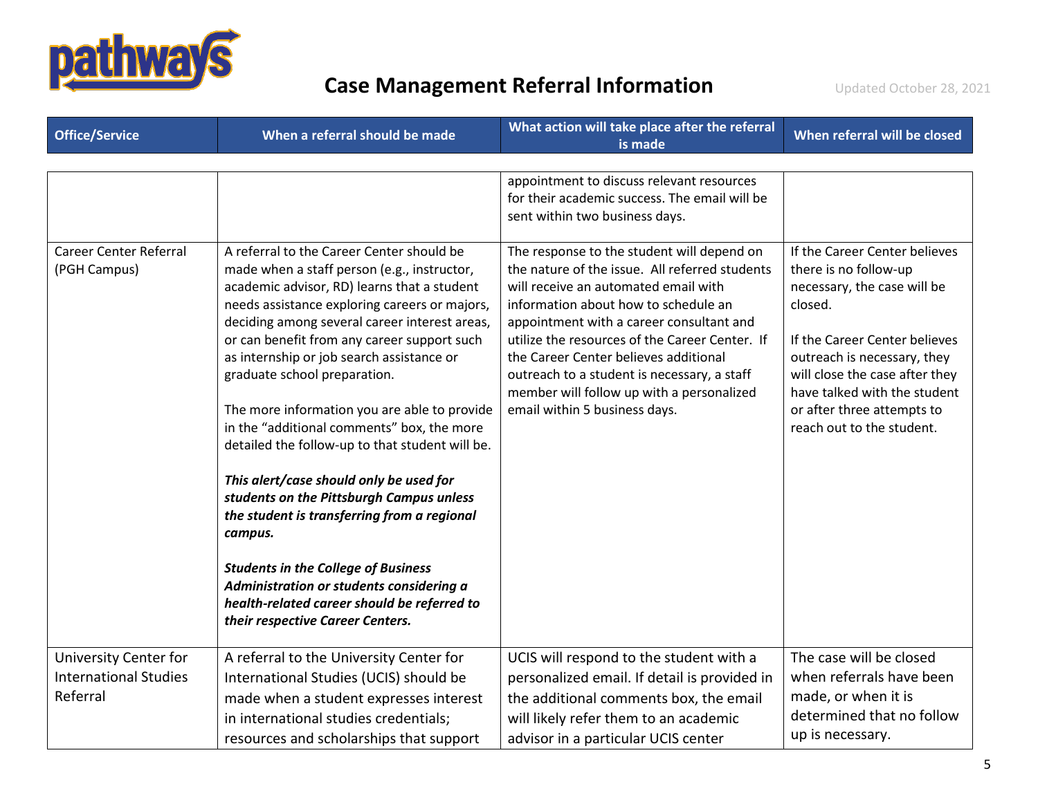

| <b>Office/Service</b>                                             | When a referral should be made                                                                                                                                                                                                                                                                                                                                                                                                                                                                              | What action will take place after the referral<br>is made                                                                                                                                                                                                                                                                                                                                                                                           | When referral will be closed                                                                                                                                     |
|-------------------------------------------------------------------|-------------------------------------------------------------------------------------------------------------------------------------------------------------------------------------------------------------------------------------------------------------------------------------------------------------------------------------------------------------------------------------------------------------------------------------------------------------------------------------------------------------|-----------------------------------------------------------------------------------------------------------------------------------------------------------------------------------------------------------------------------------------------------------------------------------------------------------------------------------------------------------------------------------------------------------------------------------------------------|------------------------------------------------------------------------------------------------------------------------------------------------------------------|
| <b>Career Center Referral</b><br>(PGH Campus)                     | A referral to the Career Center should be<br>made when a staff person (e.g., instructor,<br>academic advisor, RD) learns that a student<br>needs assistance exploring careers or majors,<br>deciding among several career interest areas,<br>or can benefit from any career support such<br>as internship or job search assistance or                                                                                                                                                                       | appointment to discuss relevant resources<br>for their academic success. The email will be<br>sent within two business days.<br>The response to the student will depend on<br>the nature of the issue. All referred students<br>will receive an automated email with<br>information about how to schedule an<br>appointment with a career consultant and<br>utilize the resources of the Career Center. If<br>the Career Center believes additional | If the Career Center believes<br>there is no follow-up<br>necessary, the case will be<br>closed.<br>If the Career Center believes<br>outreach is necessary, they |
|                                                                   | graduate school preparation.<br>The more information you are able to provide<br>in the "additional comments" box, the more<br>detailed the follow-up to that student will be.<br>This alert/case should only be used for<br>students on the Pittsburgh Campus unless<br>the student is transferring from a regional<br>campus.<br><b>Students in the College of Business</b><br>Administration or students considering a<br>health-related career should be referred to<br>their respective Career Centers. | outreach to a student is necessary, a staff<br>member will follow up with a personalized<br>email within 5 business days.                                                                                                                                                                                                                                                                                                                           | will close the case after they<br>have talked with the student<br>or after three attempts to<br>reach out to the student.                                        |
| University Center for<br><b>International Studies</b><br>Referral | A referral to the University Center for<br>International Studies (UCIS) should be<br>made when a student expresses interest<br>in international studies credentials;<br>resources and scholarships that support                                                                                                                                                                                                                                                                                             | UCIS will respond to the student with a<br>personalized email. If detail is provided in<br>the additional comments box, the email<br>will likely refer them to an academic<br>advisor in a particular UCIS center                                                                                                                                                                                                                                   | The case will be closed<br>when referrals have been<br>made, or when it is<br>determined that no follow<br>up is necessary.                                      |